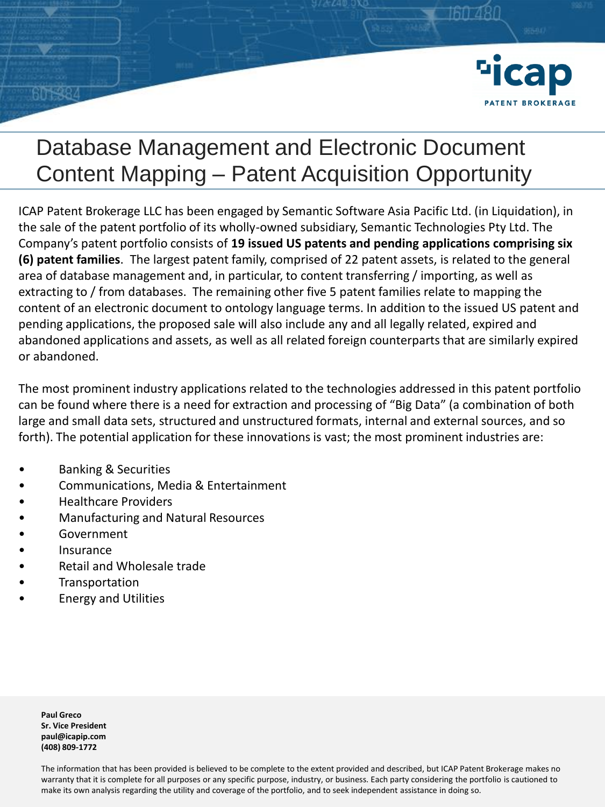

ICAP Patent Brokerage LLC has been engaged by Semantic Software Asia Pacific Ltd. (in Liquidation), in the sale of the patent portfolio of its wholly-owned subsidiary, Semantic Technologies Pty Ltd. The Company's patent portfolio consists of **19 issued US patents and pending applications comprising six (6) patent families**. The largest patent family, comprised of 22 patent assets, is related to the general area of database management and, in particular, to content transferring / importing, as well as extracting to / from databases. The remaining other five 5 patent families relate to mapping the content of an electronic document to ontology language terms. In addition to the issued US patent and pending applications, the proposed sale will also include any and all legally related, expired and abandoned applications and assets, as well as all related foreign counterparts that are similarly expired or abandoned.

The most prominent industry applications related to the technologies addressed in this patent portfolio can be found where there is a need for extraction and processing of "Big Data" (a combination of both large and small data sets, structured and unstructured formats, internal and external sources, and so forth). The potential application for these innovations is vast; the most prominent industries are:

- Banking & Securities
- Communications, Media & Entertainment
- Healthcare Providers
- Manufacturing and Natural Resources
- **Government**
- **Insurance**
- Retail and Wholesale trade
- **Transportation**
- Energy and Utilities

**Paul Greco Sr. Vice President paul@icapip.com (408) 809-1772**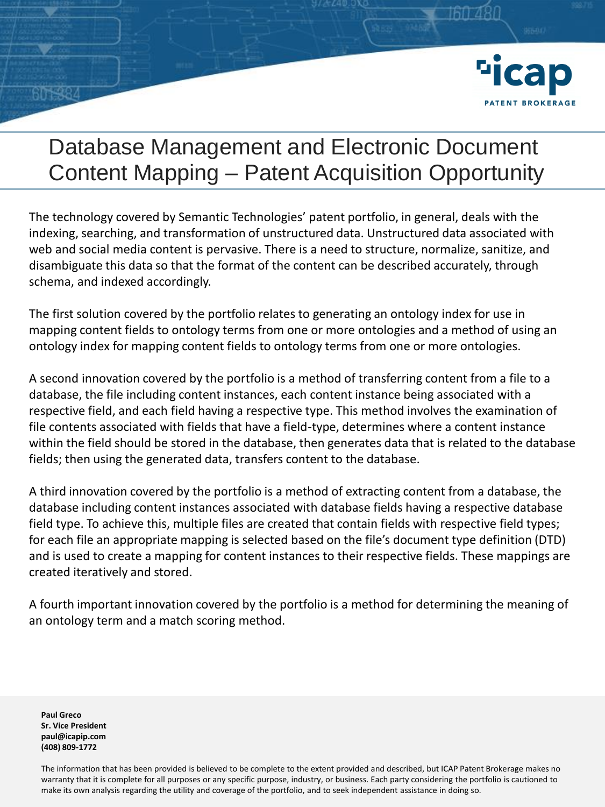

The technology covered by Semantic Technologies' patent portfolio, in general, deals with the indexing, searching, and transformation of unstructured data. Unstructured data associated with web and social media content is pervasive. There is a need to structure, normalize, sanitize, and disambiguate this data so that the format of the content can be described accurately, through schema, and indexed accordingly.

The first solution covered by the portfolio relates to generating an ontology index for use in mapping content fields to ontology terms from one or more ontologies and a method of using an ontology index for mapping content fields to ontology terms from one or more ontologies.

A second innovation covered by the portfolio is a method of transferring content from a file to a database, the file including content instances, each content instance being associated with a respective field, and each field having a respective type. This method involves the examination of file contents associated with fields that have a field-type, determines where a content instance within the field should be stored in the database, then generates data that is related to the database fields; then using the generated data, transfers content to the database.

A third innovation covered by the portfolio is a method of extracting content from a database, the database including content instances associated with database fields having a respective database field type. To achieve this, multiple files are created that contain fields with respective field types; for each file an appropriate mapping is selected based on the file's document type definition (DTD) and is used to create a mapping for content instances to their respective fields. These mappings are created iteratively and stored.

A fourth important innovation covered by the portfolio is a method for determining the meaning of an ontology term and a match scoring method.

**Paul Greco Sr. Vice President paul@icapip.com (408) 809-1772**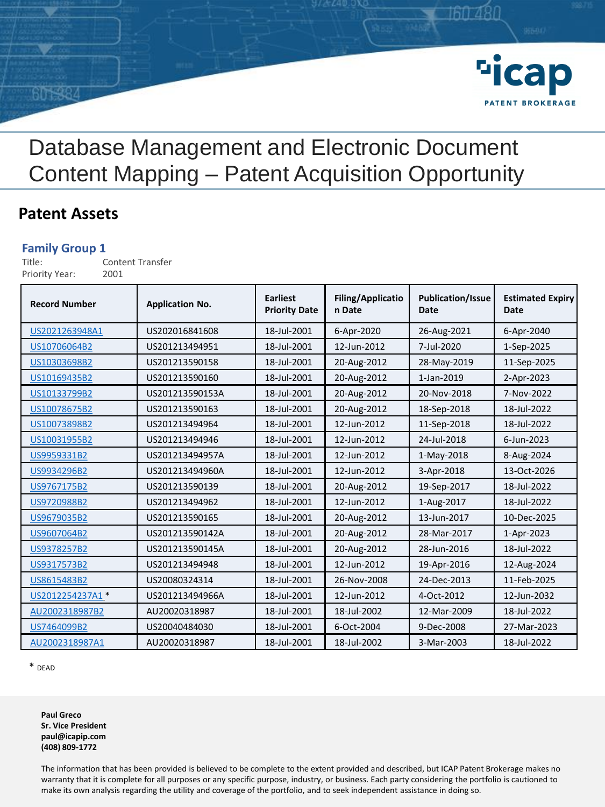

#### **Patent Assets**

#### **Family Group 1**

Title: Content Transfer Priority Year: 2001

| <b>Record Number</b> | <b>Application No.</b> | <b>Earliest</b><br><b>Priority Date</b> | <b>Filing/Applicatio</b><br>n Date | <b>Publication/Issue</b><br>Date | <b>Estimated Expiry</b><br>Date |
|----------------------|------------------------|-----------------------------------------|------------------------------------|----------------------------------|---------------------------------|
| US2021263948A1       | US202016841608         | 18-Jul-2001                             | 6-Apr-2020                         | 26-Aug-2021                      | 6-Apr-2040                      |
| US10706064B2         | US201213494951         | 18-Jul-2001                             | 12-Jun-2012                        | 7-Jul-2020                       | 1-Sep-2025                      |
| US10303698B2         | US201213590158         | 18-Jul-2001                             | 20-Aug-2012                        | 28-May-2019                      | 11-Sep-2025                     |
| US10169435B2         | US201213590160         | 18-Jul-2001                             | 20-Aug-2012                        | 1-Jan-2019                       | 2-Apr-2023                      |
| US10133799B2         | US201213590153A        | 18-Jul-2001                             | 20-Aug-2012                        | 20-Nov-2018                      | 7-Nov-2022                      |
| US10078675B2         | US201213590163         | 18-Jul-2001                             | 20-Aug-2012                        | 18-Sep-2018                      | 18-Jul-2022                     |
| US10073898B2         | US201213494964         | 18-Jul-2001                             | 12-Jun-2012                        | 11-Sep-2018                      | 18-Jul-2022                     |
| US10031955B2         | US201213494946         | 18-Jul-2001                             | 12-Jun-2012                        | 24-Jul-2018                      | 6-Jun-2023                      |
| US9959331B2          | US201213494957A        | 18-Jul-2001                             | 12-Jun-2012                        | 1-May-2018                       | 8-Aug-2024                      |
| US9934296B2          | US201213494960A        | 18-Jul-2001                             | 12-Jun-2012                        | 3-Apr-2018                       | 13-Oct-2026                     |
| US9767175B2          | US201213590139         | 18-Jul-2001                             | 20-Aug-2012                        | 19-Sep-2017                      | 18-Jul-2022                     |
| US9720988B2          | US201213494962         | 18-Jul-2001                             | 12-Jun-2012                        | 1-Aug-2017                       | 18-Jul-2022                     |
| US9679035B2          | US201213590165         | 18-Jul-2001                             | 20-Aug-2012                        | 13-Jun-2017                      | 10-Dec-2025                     |
| US9607064B2          | US201213590142A        | 18-Jul-2001                             | 20-Aug-2012                        | 28-Mar-2017                      | 1-Apr-2023                      |
| US9378257B2          | US201213590145A        | 18-Jul-2001                             | 20-Aug-2012                        | 28-Jun-2016                      | 18-Jul-2022                     |
| US9317573B2          | US201213494948         | 18-Jul-2001                             | 12-Jun-2012                        | 19-Apr-2016                      | 12-Aug-2024                     |
| US8615483B2          | US20080324314          | 18-Jul-2001                             | 26-Nov-2008                        | 24-Dec-2013                      | 11-Feb-2025                     |
| US2012254237A1*      | US201213494966A        | 18-Jul-2001                             | 12-Jun-2012                        | 4-Oct-2012                       | 12-Jun-2032                     |
| AU2002318987B2       | AU20020318987          | 18-Jul-2001                             | 18-Jul-2002                        | 12-Mar-2009                      | 18-Jul-2022                     |
| US7464099B2          | US20040484030          | 18-Jul-2001                             | 6-Oct-2004                         | 9-Dec-2008                       | 27-Mar-2023                     |
| AU2002318987A1       | AU20020318987          | 18-Jul-2001                             | 18-Jul-2002                        | 3-Mar-2003                       | 18-Jul-2022                     |

\* DEAD

**Paul Greco Sr. Vice President paul@icapip.com (408) 809-1772**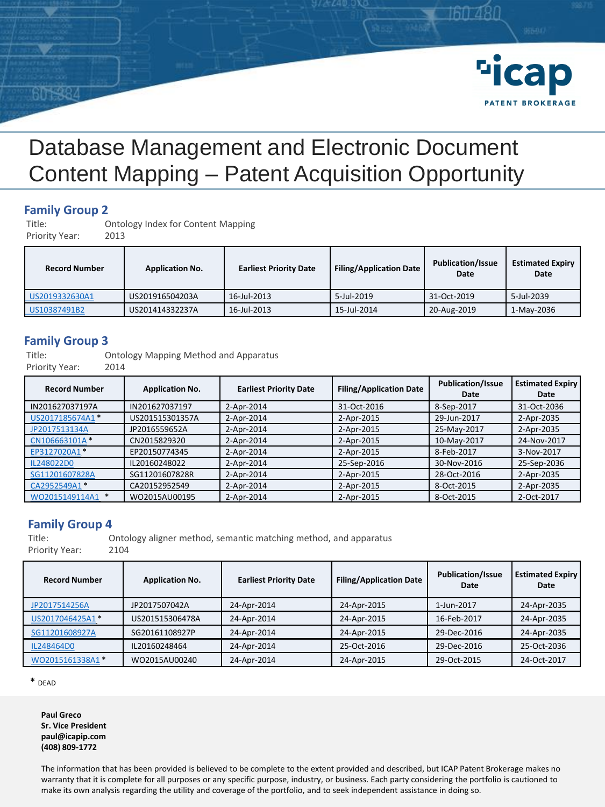

### **Family Group 2**

Ontology Index for Content Mapping

Priority Year: 2013

| <b>Record Number</b> | <b>Application No.</b> | <b>Earliest Priority Date</b> | <b>Filing/Application Date</b> | <b>Publication/Issue</b><br>Date | <b>Estimated Expiry</b><br>Date |
|----------------------|------------------------|-------------------------------|--------------------------------|----------------------------------|---------------------------------|
| US2019332630A1       | US201916504203A        | 16-Jul-2013                   | 5-Jul-2019                     | 31-Oct-2019                      | 5-Jul-2039                      |
| US10387491B2         | US201414332237A        | 16-Jul-2013                   | 15-Jul-2014                    | 20-Aug-2019                      | 1-May-2036                      |

#### **Family Group 3**

Title: Ontology Mapping Method and Apparatus

Priority Year: 2014

| <b>Record Number</b> | <b>Application No.</b> | <b>Earliest Priority Date</b> | <b>Filing/Application Date</b> | <b>Publication/Issue</b><br>Date | <b>Estimated Expiry</b><br>Date |
|----------------------|------------------------|-------------------------------|--------------------------------|----------------------------------|---------------------------------|
| IN201627037197A      | IN201627037197         | 2-Apr-2014                    | 31-Oct-2016                    | 8-Sep-2017                       | 31-Oct-2036                     |
| US2017185674A1 *     | US201515301357A        | 2-Apr-2014                    | 2-Apr-2015                     | 29-Jun-2017                      | 2-Apr-2035                      |
| JP2017513134A        | JP2016559652A          | 2-Apr-2014                    | 2-Apr-2015                     | 25-May-2017                      | 2-Apr-2035                      |
| CN106663101A*        | CN2015829320           | 2-Apr-2014                    | 2-Apr-2015                     | 10-May-2017                      | 24-Nov-2017                     |
| EP3127020A1*         | EP20150774345          | 2-Apr-2014                    | 2-Apr-2015                     | 8-Feb-2017                       | 3-Nov-2017                      |
| IL248022D0           | IL20160248022          | 2-Apr-2014                    | 25-Sep-2016                    | 30-Nov-2016                      | 25-Sep-2036                     |
| SG11201607828A       | SG11201607828R         | 2-Apr-2014                    | 2-Apr-2015                     | 28-Oct-2016                      | 2-Apr-2035                      |
| CA2952549A1*         | CA20152952549          | 2-Apr-2014                    | 2-Apr-2015                     | 8-Oct-2015                       | 2-Apr-2035                      |
| WO2015149114A1       | WO2015AU00195          | 2-Apr-2014                    | 2-Apr-2015                     | 8-Oct-2015                       | 2-Oct-2017                      |

#### **Family Group 4**

Title: Ontology aligner method, semantic matching method, and apparatus Priority Year:

| <b>Record Number</b> | <b>Application No.</b> | <b>Earliest Priority Date</b> | <b>Filing/Application Date</b> | <b>Publication/Issue</b><br>Date | <b>Estimated Expiry</b><br>Date |
|----------------------|------------------------|-------------------------------|--------------------------------|----------------------------------|---------------------------------|
| JP2017514256A        | JP2017507042A          | 24-Apr-2014                   | 24-Apr-2015                    | 1-Jun-2017                       | 24-Apr-2035                     |
| US2017046425A1*      | US201515306478A        | 24-Apr-2014                   | 24-Apr-2015                    | 16-Feb-2017                      | 24-Apr-2035                     |
| SG11201608927A       | SG20161108927P         | 24-Apr-2014                   | 24-Apr-2015                    | 29-Dec-2016                      | 24-Apr-2035                     |
| IL248464D0           | IL20160248464          | 24-Apr-2014                   | 25-Oct-2016                    | 29-Dec-2016                      | 25-Oct-2036                     |
| WO2015161338A1 *     | WO2015AU00240          | 24-Apr-2014                   | 24-Apr-2015                    | 29-Oct-2015                      | 24-Oct-2017                     |

\* DEAD

**Paul Greco Sr. Vice President paul@icapip.com (408) 809-1772**